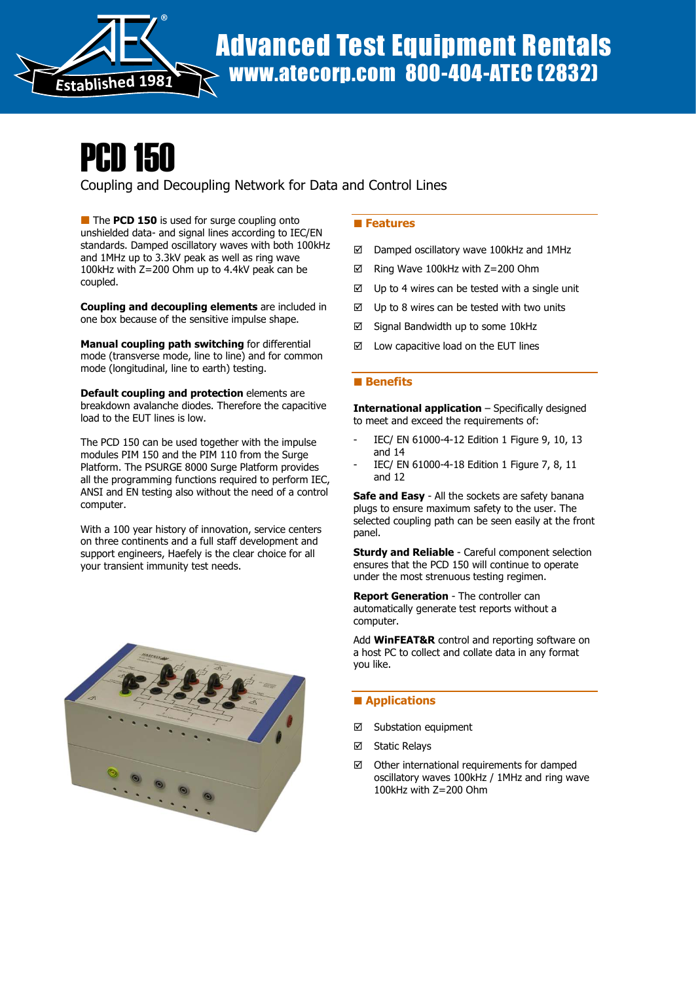

# PCD 150

Coupling and Decoupling Network for Data and Control Lines

The PCD 150 is used for surge coupling onto unshielded data- and signal lines according to IEC/EN standards. Damped oscillatory waves with both 100kHz and 1MHz up to 3.3kV peak as well as ring wave 100kHz with Z=200 Ohm up to 4.4kV peak can be coupled.

Coupling and decoupling elements are included in one box because of the sensitive impulse shape.

Manual coupling path switching for differential mode (transverse mode, line to line) and for common mode (longitudinal, line to earth) testing.

Default coupling and protection elements are breakdown avalanche diodes. Therefore the capacitive load to the EUT lines is low.

The PCD 150 can be used together with the impulse modules PIM 150 and the PIM 110 from the Surge Platform. The PSURGE 8000 Surge Platform provides all the programming functions required to perform IEC, ANSI and EN testing also without the need of a control computer.

With a 100 year history of innovation, service centers on three continents and a full staff development and support engineers, Haefely is the clear choice for all your transient immunity test needs.



## **Features**

- Damped oscillatory wave 100kHz and 1MHz
- Ring Wave 100kHz with Z=200 Ohm
- $\boxtimes$  Up to 4 wires can be tested with a single unit
- $\boxtimes$  Up to 8 wires can be tested with two units
- $\boxtimes$  Signal Bandwidth up to some 10kHz
- $\boxtimes$  Low capacitive load on the EUT lines

#### **Benefits**

International application – Specifically designed to meet and exceed the requirements of:

- IEC/ EN 61000-4-12 Edition 1 Figure 9, 10, 13 and 14
- IEC/ EN 61000-4-18 Edition 1 Figure 7, 8, 11 and 12

Safe and Easy - All the sockets are safety banana plugs to ensure maximum safety to the user. The selected coupling path can be seen easily at the front panel.

**Sturdy and Reliable** - Careful component selection ensures that the PCD 150 will continue to operate under the most strenuous testing regimen.

Report Generation - The controller can automatically generate test reports without a computer.

Add **WinFEAT&R** control and reporting software on a host PC to collect and collate data in any format you like.

### **Applications**

- Substation equipment
- **⊠** Static Relays
- $\boxtimes$  Other international requirements for damped oscillatory waves 100kHz / 1MHz and ring wave 100kHz with Z=200 Ohm